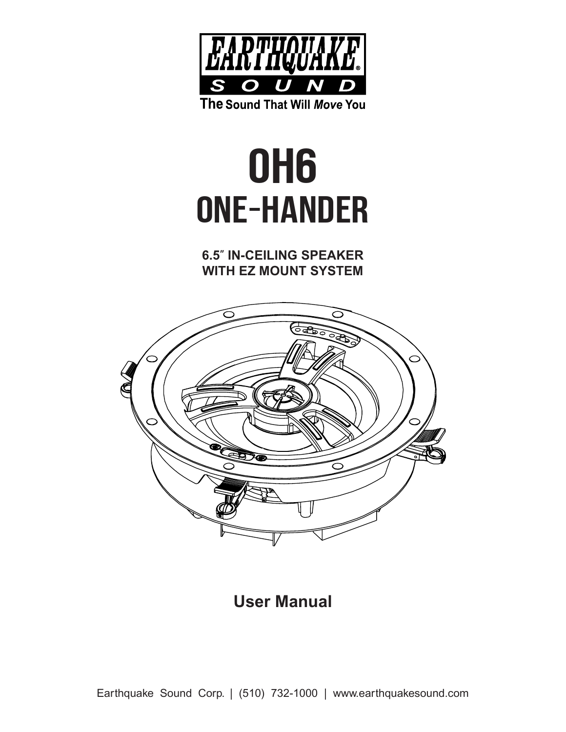

# ONE-HANDER OH6

**6.5**″ **IN-CEILING SPEAKER WITH EZ MOUNT SYSTEM**



**User Manual**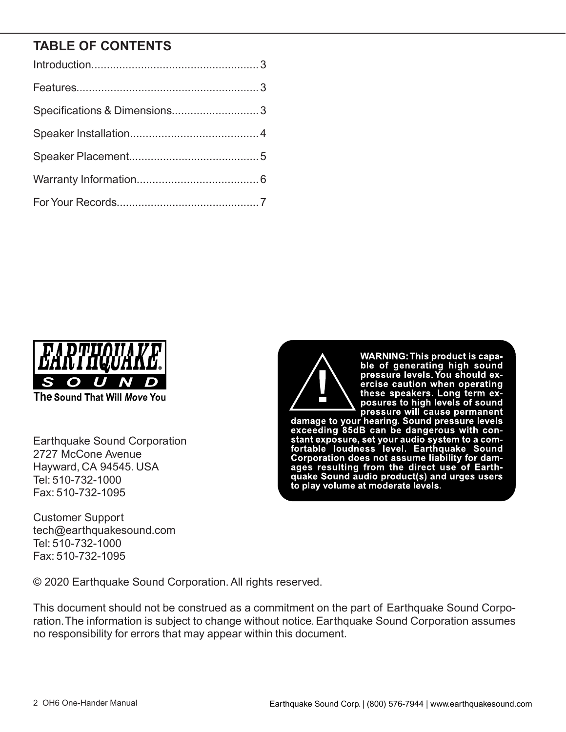## **TABLE OF CONTENTS**

| Specifications & Dimensions3 |  |
|------------------------------|--|
|                              |  |
|                              |  |
|                              |  |
|                              |  |



The Sound That Will Move You

Earthquake Sound Corporation 2727 McCone Avenue Hayward, CA 94545. USA Tel: 510-732-1000 Fax: 510-732-1095

Customer Support tech@earthquakesound.com Tel: 510-732-1000 Fax: 510-732-1095



WARNING: This product is capa-<br>ble of generating high sound<br>pressure levels. You should expressure reverse rou should ex-<br>ercise caution when operating<br>these speakers. Long term ex-<br>posures to high levels of sound

damage to your hearing. Sound pressure will cause permanent<br>damage to your hearing. Sound pressure levels<br>exceeding 85dB can be dangerous with conexceeding solar can be dangerous with con-<br>stant exposure, set your audio system to a com-<br>fortable loudness level. Earthquake Sound<br>Corporation does not assume liability for dam-<br>ages resulting from the direct use of Eart

© 2020 Earthquake Sound Corporation. All rights reserved.

This document should not be construed as a commitment on the part of Earthquake Sound Corporation.The information is subject to change without notice. Earthquake Sound Corporation assumes no responsibility for errors that may appear within this document.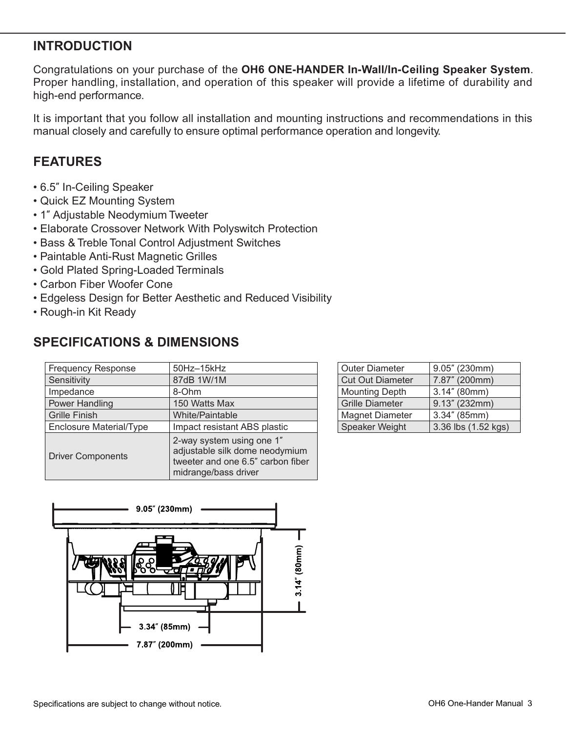## **INTRODUCTION**

Congratulations on your purchase of the **OH6 ONE-HANDER In-Wall/In-Ceiling Speaker System**. Proper handling, installation, and operation of this speaker will provide a lifetime of durability and high-end performance.

It is important that you follow all installation and mounting instructions and recommendations in this manual closely and carefully to ensure optimal performance operation and longevity.

### **FEATURES**

- 6.5″ In-Ceiling Speaker
- Quick EZ Mounting System
- 1″ Adjustable Neodymium Tweeter
- Elaborate Crossover Network With Polyswitch Protection
- Bass & Treble Tonal Control Adjustment Switches
- Paintable Anti-Rust Magnetic Grilles
- Gold Plated Spring-Loaded Terminals
- Carbon Fiber Woofer Cone
- Edgeless Design for Better Aesthetic and Reduced Visibility
- Rough-in Kit Ready

## **SPECIFICATIONS & DIMENSIONS**

| <b>Frequency Response</b>      | 50Hz-15kHz                                                                                                               |
|--------------------------------|--------------------------------------------------------------------------------------------------------------------------|
| Sensitivity                    | 87dB 1W/1M                                                                                                               |
| Impedance                      | 8-Ohm                                                                                                                    |
| Power Handling                 | 150 Watts Max                                                                                                            |
| <b>Grille Finish</b>           | <b>White/Paintable</b>                                                                                                   |
| <b>Enclosure Material/Type</b> | Impact resistant ABS plastic                                                                                             |
| <b>Driver Components</b>       | 2-way system using one 1"<br>adjustable silk dome neodymium<br>tweeter and one 6.5" carbon fiber<br>midrange/bass driver |

| <b>Outer Diameter</b>   | 9.05" (230mm)       |
|-------------------------|---------------------|
| <b>Cut Out Diameter</b> | 7.87" (200mm)       |
| <b>Mounting Depth</b>   | $3.14''$ (80mm)     |
| <b>Grille Diameter</b>  | 9.13'' (232mm)      |
| <b>Magnet Diameter</b>  | $3.34''$ (85mm)     |
| Speaker Weight          | 3.36 lbs (1.52 kgs) |

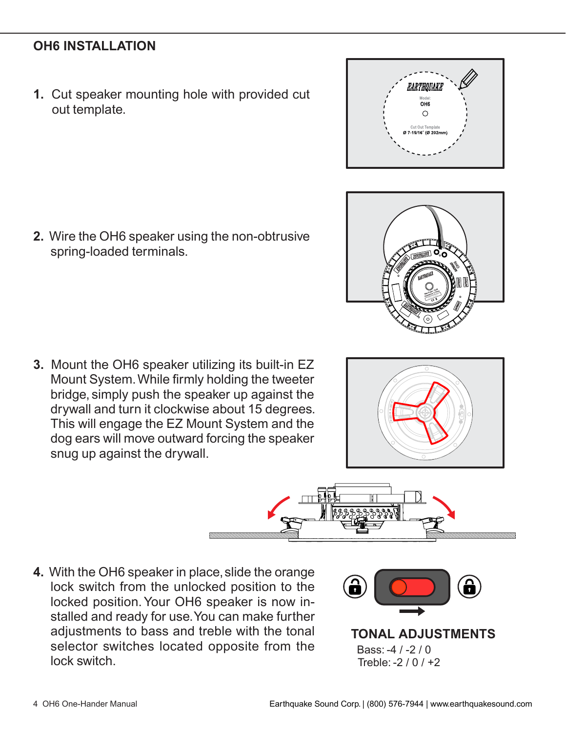**1.** Cut speaker mounting hole with provided cut out template.

**2.** Wire the OH6 speaker using the non-obtrusive spring-loaded terminals.

**3.** Mount the OH6 speaker utilizing its built-in EZ Mount System.While firmly holding the tweeter bridge, simply push the speaker up against the drywall and turn it clockwise about 15 degrees. This will engage the EZ Mount System and the dog ears will move outward forcing the speaker snug up against the drywall.

**4.** With the OH6 speaker in place, slide the orange lock switch from the unlocked position to the locked position. Your OH6 speaker is now installed and ready for use.You can make further adjustments to bass and treble with the tonal selector switches located opposite from the lock switch.



Bass: -4 / -2 / 0 **TONAL ADJUSTMENTS** Treble: -2 / 0 / +2





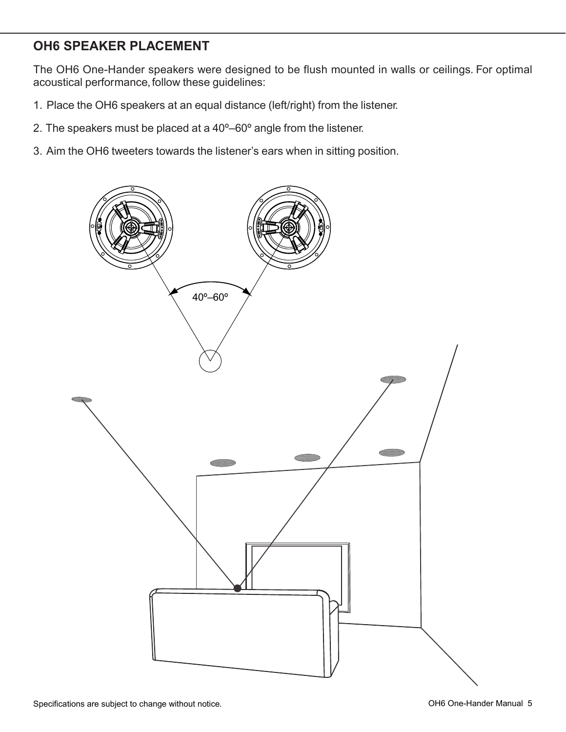## **OH6 SPEAKER PLACEMENT**

The OH6 One-Hander speakers were designed to be flush mounted in walls or ceilings. For optimal acoustical performance, follow these guidelines:

- 1. Place the OH6 speakers at an equal distance (left/right) from the listener.
- 2. The speakers must be placed at a 40º–60º angle from the listener.
- 3. Aim the OH6 tweeters towards the listener's ears when in sitting position.

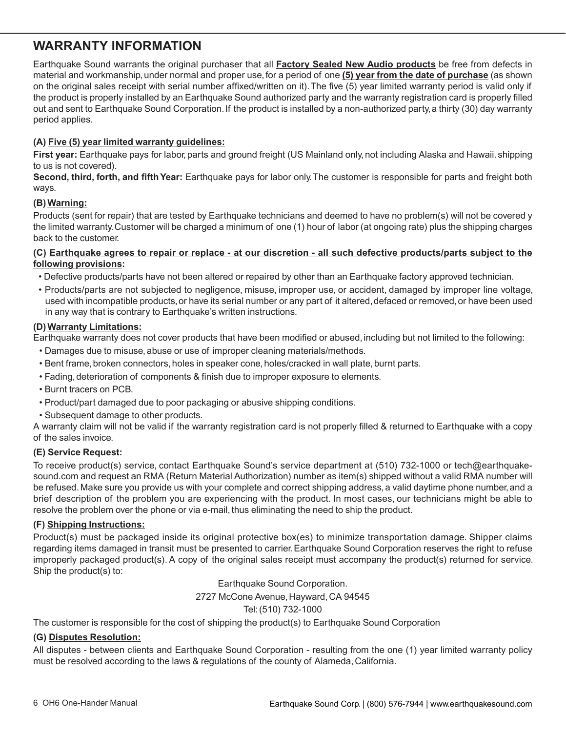## **WARRANTY INFORMATION**

Earthquake Sound warrants the original purchaser that all **Factory Sealed New Audio products** be free from defects in material and workmanship,under normal and proper use,for a period of one **(5) year from the date of purchase** (as shown on the original sales receipt with serial number affixed/written on it).The five (5) year limited warranty period is valid only if the product is properly installed by an Earthquake Sound authorized party and the warranty registration card is properly filled out and sent to Earthquake Sound Corporation.If the product is installed by a non-authorized party,a thirty (30) day warranty period applies.

#### **(A) Five (5) year limited warranty guidelines:**

**First year:** Earthquake pays for labor, parts and ground freight (US Mainland only, not including Alaska and Hawaii. shipping to us is not covered).

**Second, third, forth, and fifth Year:** Earthquake pays for labor only.The customer is responsible for parts and freight both ways.

#### **(B)Warning:**

Products (sent for repair) that are tested by Earthquake technicians and deemed to have no problem(s) will not be covered y the limited warranty.Customer will be charged a minimum of one (1) hour of labor (at ongoing rate) plus the shipping charges back to the customer.

#### **(C) Earthquake agrees to repair or replace - at our discretion - all such defective products/parts subject to the following provisions:**

- Defective products/parts have not been altered or repaired by other than an Earthquake factory approved technician.
- Products/parts are not subjected to negligence, misuse, improper use, or accident, damaged by improper line voltage, used with incompatible products, or have its serial number or any part of it altered, defaced or removed, or have been used in any way that is contrary to Earthquake's written instructions.

#### **(D)Warranty Limitations:**

Earthquake warranty does not cover products that have been modified or abused, including but not limited to the following:

- Damages due to misuse,abuse or use of improper cleaning materials/methods.
- Bent frame, broken connectors, holes in speaker cone, holes/cracked in wall plate, burnt parts.
- Fading, deterioration of components & finish due to improper exposure to elements.
- Burnt tracers on PCB.
- Product/part damaged due to poor packaging or abusive shipping conditions.
- Subsequent damage to other products.

A warranty claim will not be valid if the warranty registration card is not properly filled & returned to Earthquake with a copy of the sales invoice.

#### **(E) Service Request:**

To receive product(s) service, contact Earthquake Sound's service department at (510) 732-1000 or tech@earthquakesound.com and request an RMA (Return Material Authorization) number as item(s) shipped without a valid RMA number will be refused. Make sure you provide us with your complete and correct shipping address, a valid daytime phone number, and a brief description of the problem you are experiencing with the product. In most cases, our technicians might be able to resolve the problem over the phone or via e-mail, thus eliminating the need to ship the product.

#### **(F) Shipping Instructions:**

Product(s) must be packaged inside its original protective box(es) to minimize transportation damage. Shipper claims regarding items damaged in transit must be presented to carrier. Earthquake Sound Corporation reserves the right to refuse improperly packaged product(s). A copy of the original sales receipt must accompany the product(s) returned for service. Ship the product(s) to:

Earthquake Sound Corporation.

2727 McCone Avenue, Hayward, CA 94545

#### Tel:(510) 732-1000

The customer is responsible for the cost of shipping the product(s) to Earthquake Sound Corporation

#### **(G) Disputes Resolution:**

All disputes - between clients and Earthquake Sound Corporation - resulting from the one (1) year limited warranty policy must be resolved according to the laws & regulations of the county of Alameda, California.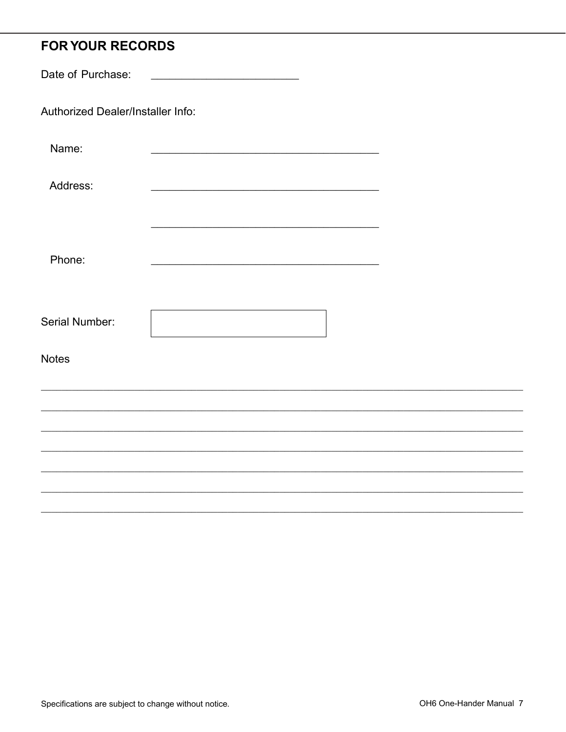# **FOR YOUR RECORDS**

| Date of Purchase:                 |  |  |
|-----------------------------------|--|--|
| Authorized Dealer/Installer Info: |  |  |
| Name:                             |  |  |
| Address:                          |  |  |
| Phone:                            |  |  |
| Serial Number:                    |  |  |
| <b>Notes</b>                      |  |  |
|                                   |  |  |
|                                   |  |  |
|                                   |  |  |
|                                   |  |  |